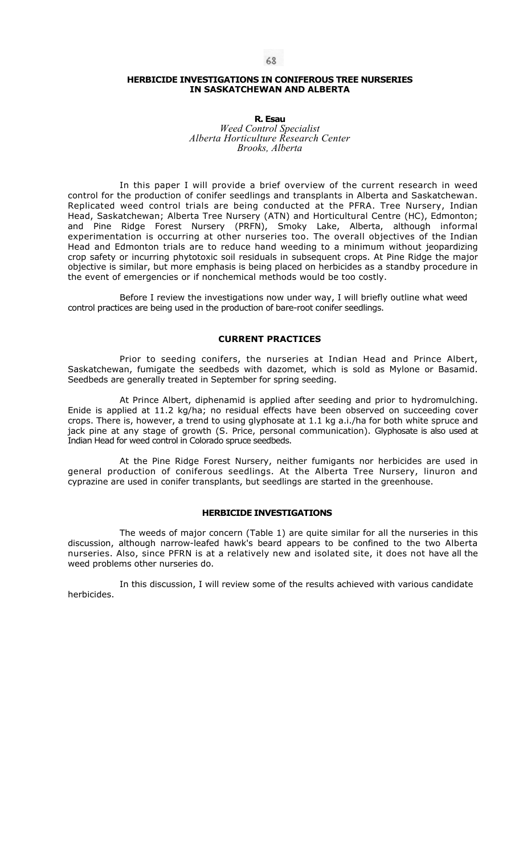# **HERBICIDE INVESTIGATIONS IN CONIFEROUS TREE NURSERIES IN SASKATCHEWAN AND ALBERTA**

#### **R. Esau**  *Weed Control Specialist Alberta Horticulture Research Center Brooks, Alberta*

In this paper I will provide a brief overview of the current research in weed control for the production of conifer seedlings and transplants in Alberta and Saskatchewan. Replicated weed control trials are being conducted at the PFRA. Tree Nursery, Indian Head, Saskatchewan; Alberta Tree Nursery (ATN) and Horticultural Centre (HC), Edmonton; and Pine Ridge Forest Nursery (PRFN), Smoky Lake, Alberta, although informal experimentation is occurring at other nurseries too. The overall objectives of the Indian Head and Edmonton trials are to reduce hand weeding to a minimum without jeopardizing crop safety or incurring phytotoxic soil residuals in subsequent crops. At Pine Ridge the major objective is similar, but more emphasis is being placed on herbicides as a standby procedure in the event of emergencies or if nonchemical methods would be too costly.

Before I review the investigations now under way, I will briefly outline what weed control practices are being used in the production of bare-root conifer seedlings.

## **CURRENT PRACTICES**

Prior to seeding conifers, the nurseries at Indian Head and Prince Albert, Saskatchewan, fumigate the seedbeds with dazomet, which is sold as Mylone or Basamid. Seedbeds are generally treated in September for spring seeding.

At Prince Albert, diphenamid is applied after seeding and prior to hydromulching. Enide is applied at 11.2 kg/ha; no residual effects have been observed on succeeding cover crops. There is, however, a trend to using glyphosate at 1.1 kg a.i./ha for both white spruce and jack pine at any stage of growth (S. Price, personal communication). Glyphosate is also used at Indian Head for weed control in Colorado spruce seedbeds.

At the Pine Ridge Forest Nursery, neither fumigants nor herbicides are used in general production of coniferous seedlings. At the Alberta Tree Nursery, linuron and cyprazine are used in conifer transplants, but seedlings are started in the greenhouse.

## **HERBICIDE INVESTIGATIONS**

The weeds of major concern (Table 1) are quite similar for all the nurseries in this discussion, although narrow-leafed hawk's beard appears to be confined to the two Alberta nurseries. Also, since PFRN is at a relatively new and isolated site, it does not have all the weed problems other nurseries do.

In this discussion, I will review some of the results achieved with various candidate herbicides.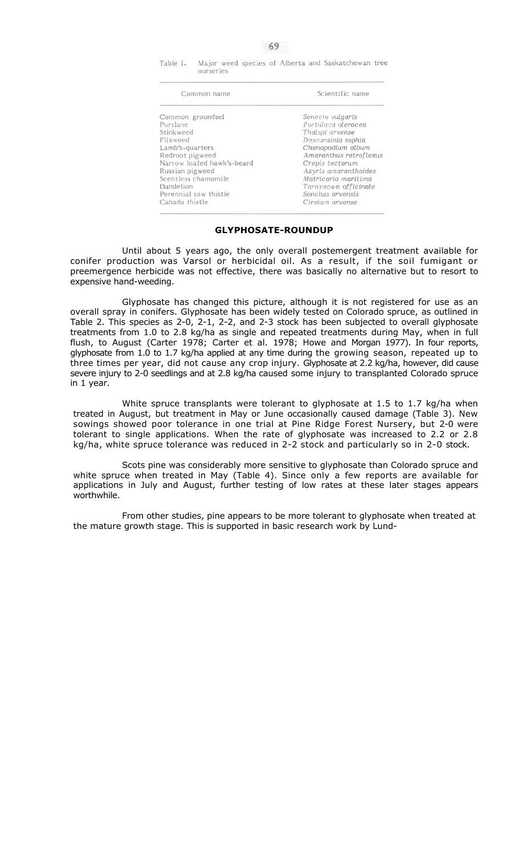Table 1. Major weed species of Alberta and Saskatchewan tree nurseries

| Common name                | Scientific name        |  |
|----------------------------|------------------------|--|
| Common groundsel           | Senecio vulgaris       |  |
| Purslane                   | Portulaca oleracea     |  |
| Stinkweed                  | Thalspi arvense        |  |
| Flixweed                   | Descurainia sophia     |  |
| Lamb's-quarters            | Chenopodium album      |  |
| Redroot pigweed            | Amaranthus retroflexus |  |
| Narrow leafed hawk's-beard | Crepis tectorum        |  |
| Russian pigweed            | Axyris amaranthoides   |  |
| Scentless chamomile        | Matricaria maritima    |  |
| Dandelion                  | Taraxacum officinale   |  |
| Perennial sow thistle      | Sonchus arvensis       |  |
| Canada thistle             | Cirsium arvense        |  |

## **GLYPHOSATE-ROUNDUP**

Until about 5 years ago, the only overall postemergent treatment available for conifer production was Varsol or herbicidal oil. As a result, if the soil fumigant or preemergence herbicide was not effective, there was basically no alternative but to resort to expensive hand-weeding.

Glyphosate has changed this picture, although it is not registered for use as an overall spray in conifers. Glyphosate has been widely tested on Colorado spruce, as outlined in Table 2. This species as 2-0, 2-1, 2-2, and 2-3 stock has been subjected to overall glyphosate treatments from 1.0 to 2.8 kg/ha as single and repeated treatments during May, when in full flush, to August (Carter 1978; Carter et al. 1978; Howe and Morgan 1977). In four reports, glyphosate from 1.0 to 1.7 kg/ha applied at any time during the growing season, repeated up to three times per year, did not cause any crop injury. Glyphosate at 2.2 kg/ha, however, did cause severe injury to 2-0 seedlings and at 2.8 kg/ha caused some injury to transplanted Colorado spruce in 1 year.

White spruce transplants were tolerant to glyphosate at 1.5 to 1.7 kg/ha when treated in August, but treatment in May or June occasionally caused damage (Table 3). New sowings showed poor tolerance in one trial at Pine Ridge Forest Nursery, but 2-0 were tolerant to single applications. When the rate of glyphosate was increased to 2.2 or 2.8 kg/ha, white spruce tolerance was reduced in 2-2 stock and particularly so in 2-0 stock.

Scots pine was considerably more sensitive to glyphosate than Colorado spruce and white spruce when treated in May (Table 4). Since only a few reports are available for applications in July and August, further testing of low rates at these later stages appears worthwhile.

From other studies, pine appears to be more tolerant to glyphosate when treated at the mature growth stage. This is supported in basic research work by Lund-

69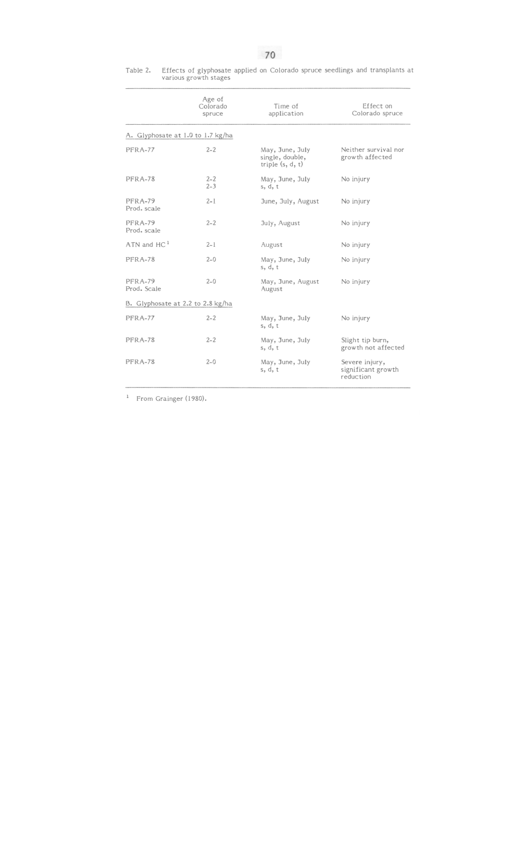Table 2. Effects of glyphosate applied on Colorado spruce seedlings and transplants at various growth stages

|                                   | Age of<br>Colorado<br>spruce | Time of<br>application                                   | Effect on<br>Colorado spruce                      |  |
|-----------------------------------|------------------------------|----------------------------------------------------------|---------------------------------------------------|--|
| A. Glyphosate at 1.0 to 1.7 kg/ha |                              |                                                          |                                                   |  |
| PFRA-77                           | $2 - 2$                      | May, June, July<br>single, double,<br>triple $(s, d, t)$ | Neither survival nor<br>growth affected           |  |
| PFRA-78                           | $2 - 2$<br>$2 - 3$           | May, June, July<br>s, d, t                               | No injury                                         |  |
| PFRA-79<br>Prod. scale            | $2 - 1$                      | June, July, August                                       | No injury                                         |  |
| PFRA-79<br>Prod. scale            | $2 - 2$                      | July, August                                             | No injury                                         |  |
| $ATN$ and $HC1$                   | $2 - 1$                      | August                                                   | No injury                                         |  |
| PFRA-78                           | $2 - 0$                      | May, June, July<br>s, d, t                               | No injury                                         |  |
| PFRA-79<br>Prod. Scale            | $2 - 0$                      | May, June, August<br>August                              | No injury                                         |  |
| B. Glyphosate at 2.2 to 2.8 kg/ha |                              |                                                          |                                                   |  |
| PFRA-77                           | $2 - 2$                      | May, June, July<br>s, d, t                               | No injury                                         |  |
| PFRA-78                           | $2 - 2$                      | May, June, July<br>s, d, t                               | Slight tip burn,<br>growth not affected           |  |
| PFRA-78                           | $2 - 0$                      | May, June, July<br>s, d, t                               | Severe injury,<br>significant growth<br>reduction |  |

<sup>1</sup> From Grainger (1980).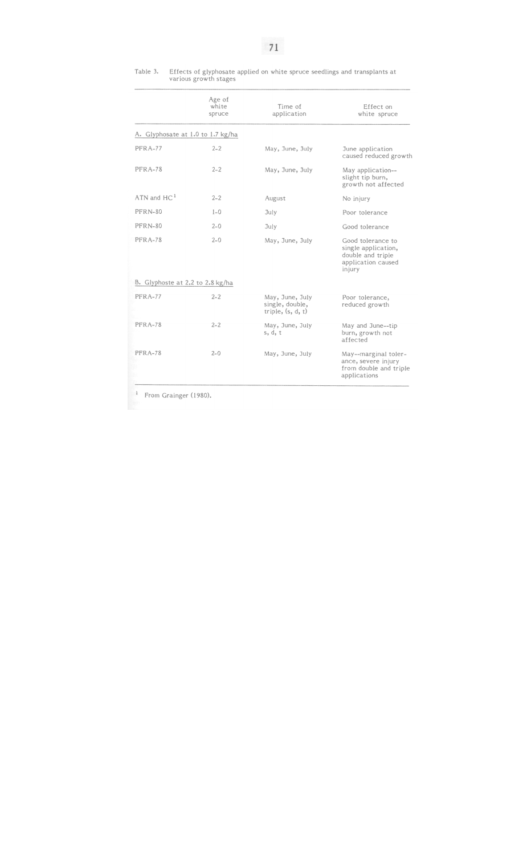# Table 3. Effects of glyphosate applied on white spruce seedlings and transplants at various growth stages

|                                   | Age of<br>white<br>spruce | Time of<br>application                                    | Effect on<br>white spruce                                                                     |  |  |
|-----------------------------------|---------------------------|-----------------------------------------------------------|-----------------------------------------------------------------------------------------------|--|--|
| A. Glyphosate at 1.0 to 1.7 kg/ha |                           |                                                           |                                                                                               |  |  |
| PFRA-77                           | $2 - 2$                   | May, June, July                                           | June application<br>caused reduced growth                                                     |  |  |
| PFRA-78                           | $2 - 2$                   | May, June, July                                           | May application--<br>slight tip burn,<br>growth not affected                                  |  |  |
| $ATN$ and $HC1$                   | $2 - 2$                   | August                                                    | No injury                                                                                     |  |  |
| PFRN-80                           | $1 - 0$                   | July                                                      | Poor tolerance                                                                                |  |  |
| PFRN-80                           | $2 - 0$                   | July                                                      | Good tolerance                                                                                |  |  |
| PFRA-78                           | $2 - 0$                   | May, June, July                                           | Good tolerance to<br>single application,<br>double and triple<br>application caused<br>injury |  |  |
| B. Glyphoste at 2.2 to 2.8 kg/ha  |                           |                                                           |                                                                                               |  |  |
| PFRA-77                           | $2 - 2$                   | May, June, July<br>single, double,<br>triple, $(s, d, t)$ | Poor tolerance,<br>reduced growth                                                             |  |  |
| PFRA-78                           | $2 - 2$                   | May, June, July<br>s, d, t                                | May and June--tip<br>burn, growth not<br>affected                                             |  |  |
| PFRA-78                           | $2 - 0$                   | May, June, July                                           | May--marginal toler-<br>ance, severe injury<br>from double and triple<br>applications         |  |  |

<sup>1</sup> From Grainger (1980).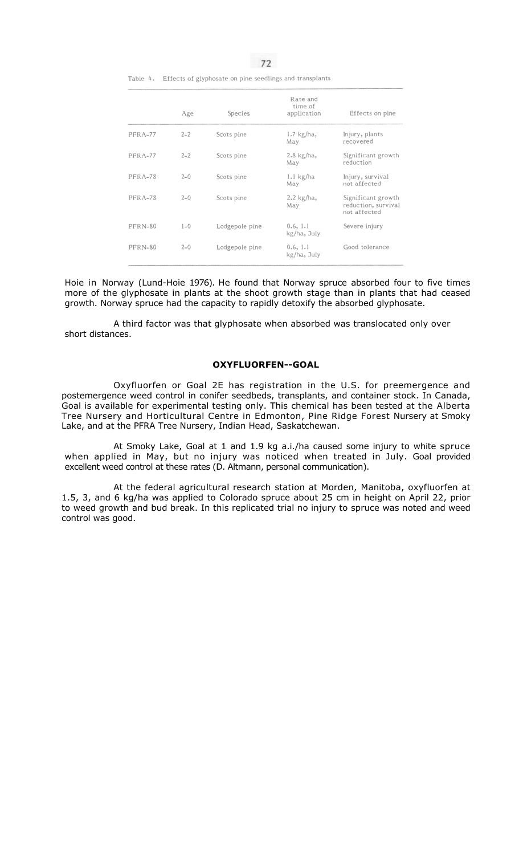Table 4. Effects of glyphosate on pine seedlings and transplants

|         | Age     | Species        | Rate and<br>time of<br>application | Effects on pine                                           |
|---------|---------|----------------|------------------------------------|-----------------------------------------------------------|
| PFRA-77 | $2 - 2$ | Scots pine     | $1.7$ kg/ha,<br>May                | Injury, plants<br>recovered                               |
| PFRA-77 | $2 - 2$ | Scots pine     | $2.8 \text{ kg/ha}$ ,<br>May       | Significant growth<br>reduction                           |
| PFRA-78 | $2 - 0$ | Scots pine     | $l.l$ kg/ha<br>May                 | Injury, survival<br>not affected                          |
| PFRA-78 | $2 - 0$ | Scots pine     | $2.2$ kg/ha,<br>May                | Significant growth<br>reduction, survival<br>not affected |
| PFRN-80 | $1 - 0$ | Lodgepole pine | 0.6, 1.1<br>kg/ha, July            | Severe injury                                             |
| PFRN-80 | $2 - 0$ | Lodgepole pine | 0.6, 1.1<br>kg/ha, July            | Good tolerance                                            |

Hoie in Norway (Lund-Hoie 1976). He found that Norway spruce absorbed four to five times more of the glyphosate in plants at the shoot growth stage than in plants that had ceased growth. Norway spruce had the capacity to rapidly detoxify the absorbed glyphosate.

A third factor was that glyphosate when absorbed was translocated only over short distances.

# **OXYFLUORFEN--GOAL**

Oxyfluorfen or Goal 2E has registration in the U.S. for preemergence and postemergence weed control in conifer seedbeds, transplants, and container stock. In Canada, Goal is available for experimental testing only. This chemical has been tested at the Alberta Tree Nursery and Horticultural Centre in Edmonton, Pine Ridge Forest Nursery at Smoky Lake, and at the PFRA Tree Nursery, Indian Head, Saskatchewan.

At Smoky Lake, Goal at 1 and 1.9 kg a.i./ha caused some injury to white spruce when applied in May, but no injury was noticed when treated in July. Goal provided excellent weed control at these rates (D. Altmann, personal communication).

At the federal agricultural research station at Morden, Manitoba, oxyfluorfen at 1.5, 3, and 6 kg/ha was applied to Colorado spruce about 25 cm in height on April 22, prior to weed growth and bud break. In this replicated trial no injury to spruce was noted and weed control was good.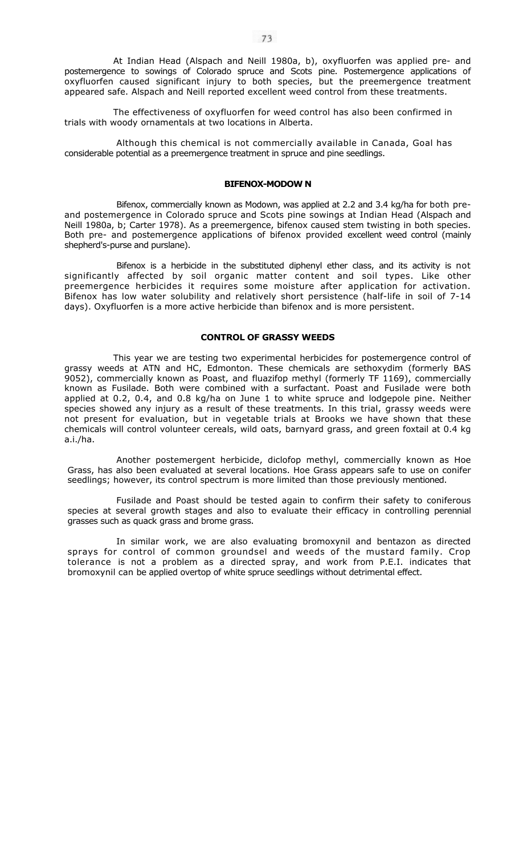At Indian Head (Alspach and Neill 1980a, b), oxyfluorfen was applied pre- and postemergence to sowings of Colorado spruce and Scots pine. Postemergence applications of oxyfluorfen caused significant injury to both species, but the preemergence treatment appeared safe. Alspach and Neill reported excellent weed control from these treatments.

The effectiveness of oxyfluorfen for weed control has also been confirmed in trials with woody ornamentals at two locations in Alberta.

Although this chemical is not commercially available in Canada, Goal has considerable potential as a preemergence treatment in spruce and pine seedlings.

## **BIFENOX-MODOW N**

Bifenox, commercially known as Modown, was applied at 2.2 and 3.4 kg/ha for both preand postemergence in Colorado spruce and Scots pine sowings at Indian Head (Alspach and Neill 1980a, b; Carter 1978). As a preemergence, bifenox caused stem twisting in both species. Both pre- and postemergence applications of bifenox provided excellent weed control (mainly shepherd's-purse and purslane).

Bifenox is a herbicide in the substituted diphenyl ether class, and its activity is not significantly affected by soil organic matter content and soil types. Like other preemergence herbicides it requires some moisture after application for activation. Bifenox has low water solubility and relatively short persistence (half-life in soil of 7-14 days). Oxyfluorfen is a more active herbicide than bifenox and is more persistent.

## **CONTROL OF GRASSY WEEDS**

This year we are testing two experimental herbicides for postemergence control of grassy weeds at ATN and HC, Edmonton. These chemicals are sethoxydim (formerly BAS 9052), commercially known as Poast, and fluazifop methyl (formerly TF 1169), commercially known as Fusilade. Both were combined with a surfactant. Poast and Fusilade were both applied at 0.2, 0.4, and 0.8 kg/ha on June 1 to white spruce and lodgepole pine. Neither species showed any injury as a result of these treatments. In this trial, grassy weeds were not present for evaluation, but in vegetable trials at Brooks we have shown that these chemicals will control volunteer cereals, wild oats, barnyard grass, and green foxtail at 0.4 kg a.i./ha.

Another postemergent herbicide, diclofop methyl, commercially known as Hoe Grass, has also been evaluated at several locations. Hoe Grass appears safe to use on conifer seedlings; however, its control spectrum is more limited than those previously mentioned.

Fusilade and Poast should be tested again to confirm their safety to coniferous species at several growth stages and also to evaluate their efficacy in controlling perennial grasses such as quack grass and brome grass.

In similar work, we are also evaluating bromoxynil and bentazon as directed sprays for control of common groundsel and weeds of the mustard family. Crop tolerance is not a problem as a directed spray, and work from P.E.I. indicates that bromoxynil can be applied overtop of white spruce seedlings without detrimental effect.